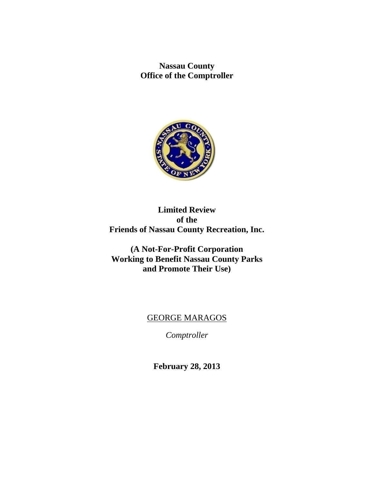**Nassau County Office of the Comptroller** 



**Limited Review of the Friends of Nassau County Recreation, Inc.** 

**(A Not-For-Profit Corporation Working to Benefit Nassau County Parks and Promote Their Use)** 

# GEORGE MARAGOS

*Comptroller* 

**February 28, 2013**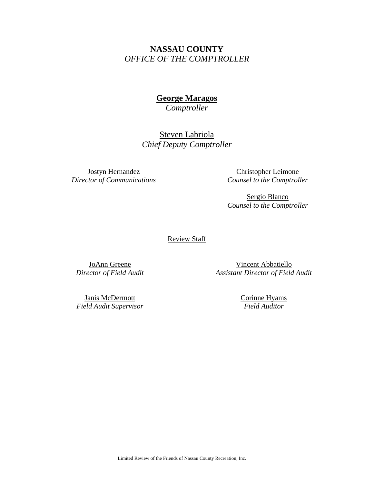# **NASSAU COUNTY**  *OFFICE OF THE COMPTROLLER*

# **George Maragos**

*Comptroller* 

# Steven Labriola *Chief Deputy Comptroller*

Jostyn Hernandez *Director of Communications* 

Christopher Leimone *Counsel to the Comptroller*

Sergio Blanco *Counsel to the Comptroller*

Review Staff

JoAnn Greene *Director of Field Audit* 

Vincent Abbatiello *Assistant Director of Field Audit* 

Janis McDermott *Field Audit Supervisor*  Corinne Hyams *Field Auditor*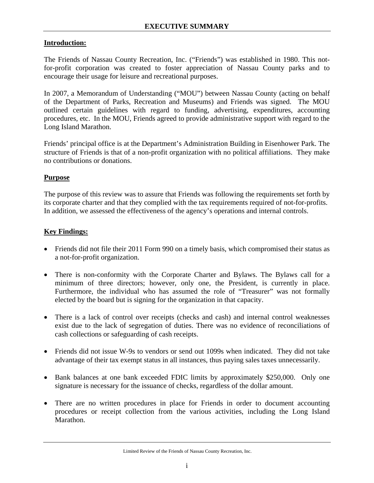### **Introduction:**

The Friends of Nassau County Recreation, Inc. ("Friends") was established in 1980. This notfor-profit corporation was created to foster appreciation of Nassau County parks and to encourage their usage for leisure and recreational purposes.

In 2007, a Memorandum of Understanding ("MOU") between Nassau County (acting on behalf of the Department of Parks, Recreation and Museums) and Friends was signed. The MOU outlined certain guidelines with regard to funding, advertising, expenditures, accounting procedures, etc. In the MOU, Friends agreed to provide administrative support with regard to the Long Island Marathon.

Friends' principal office is at the Department's Administration Building in Eisenhower Park. The structure of Friends is that of a non-profit organization with no political affiliations. They make no contributions or donations.

### **Purpose**

The purpose of this review was to assure that Friends was following the requirements set forth by its corporate charter and that they complied with the tax requirements required of not-for-profits. In addition, we assessed the effectiveness of the agency's operations and internal controls.

### **Key Findings:**

- Friends did not file their 2011 Form 990 on a timely basis, which compromised their status as a not-for-profit organization.
- There is non-conformity with the Corporate Charter and Bylaws. The Bylaws call for a minimum of three directors; however, only one, the President, is currently in place. Furthermore, the individual who has assumed the role of "Treasurer" was not formally elected by the board but is signing for the organization in that capacity.
- There is a lack of control over receipts (checks and cash) and internal control weaknesses exist due to the lack of segregation of duties. There was no evidence of reconciliations of cash collections or safeguarding of cash receipts.
- Friends did not issue W-9s to vendors or send out 1099s when indicated. They did not take advantage of their tax exempt status in all instances, thus paying sales taxes unnecessarily.
- Bank balances at one bank exceeded FDIC limits by approximately \$250,000. Only one signature is necessary for the issuance of checks, regardless of the dollar amount.
- There are no written procedures in place for Friends in order to document accounting procedures or receipt collection from the various activities, including the Long Island Marathon.

Limited Review of the Friends of Nassau County Recreation, Inc.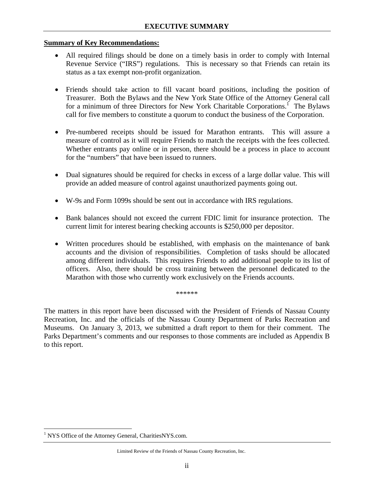#### **Summary of Key Recommendations:**

- All required filings should be done on a timely basis in order to comply with Internal Revenue Service ("IRS") regulations. This is necessary so that Friends can retain its status as a tax exempt non-profit organization.
- Friends should take action to fill vacant board positions, including the position of Treasurer. Both the Bylaws and the New York State Office of the Attorney General call for a minimum of three Directors for New York Charitable Corporations.<sup>1</sup> The Bylaws call for five members to constitute a quorum to conduct the business of the Corporation.
- Pre-numbered receipts should be issued for Marathon entrants. This will assure a measure of control as it will require Friends to match the receipts with the fees collected. Whether entrants pay online or in person, there should be a process in place to account for the "numbers" that have been issued to runners.
- Dual signatures should be required for checks in excess of a large dollar value. This will provide an added measure of control against unauthorized payments going out.
- W-9s and Form 1099s should be sent out in accordance with IRS regulations.
- Bank balances should not exceed the current FDIC limit for insurance protection. The current limit for interest bearing checking accounts is \$250,000 per depositor.
- Written procedures should be established, with emphasis on the maintenance of bank accounts and the division of responsibilities. Completion of tasks should be allocated among different individuals. This requires Friends to add additional people to its list of officers. Also, there should be cross training between the personnel dedicated to the Marathon with those who currently work exclusively on the Friends accounts.

\*\*\*\*\*\*

The matters in this report have been discussed with the President of Friends of Nassau County Recreation, Inc. and the officials of the Nassau County Department of Parks Recreation and Museums. On January 3, 2013, we submitted a draft report to them for their comment. The Parks Department's comments and our responses to those comments are included as Appendix B to this report.

 $\overline{a}$ 

<sup>&</sup>lt;sup>1</sup> NYS Office of the Attorney General, CharitiesNYS.com.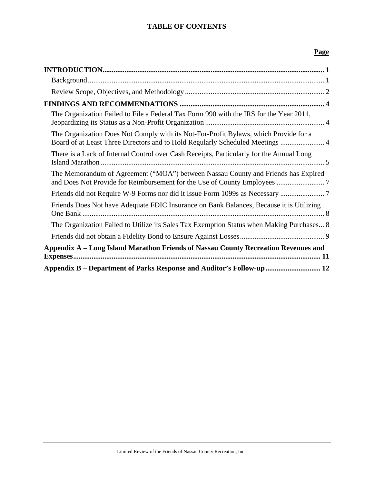# **Page**

| The Organization Failed to File a Federal Tax Form 990 with the IRS for the Year 2011,                                                                                |  |
|-----------------------------------------------------------------------------------------------------------------------------------------------------------------------|--|
| The Organization Does Not Comply with its Not-For-Profit Bylaws, which Provide for a<br>Board of at Least Three Directors and to Hold Regularly Scheduled Meetings  4 |  |
| There is a Lack of Internal Control over Cash Receipts, Particularly for the Annual Long                                                                              |  |
| The Memorandum of Agreement ("MOA") between Nassau County and Friends has Expired                                                                                     |  |
| Friends did not Require W-9 Forms nor did it Issue Form 1099s as Necessary                                                                                            |  |
| Friends Does Not have Adequate FDIC Insurance on Bank Balances, Because it is Utilizing                                                                               |  |
| The Organization Failed to Utilize its Sales Tax Exemption Status when Making Purchases 8                                                                             |  |
|                                                                                                                                                                       |  |
| Appendix A – Long Island Marathon Friends of Nassau County Recreation Revenues and                                                                                    |  |
| Appendix B – Department of Parks Response and Auditor's Follow-up 12                                                                                                  |  |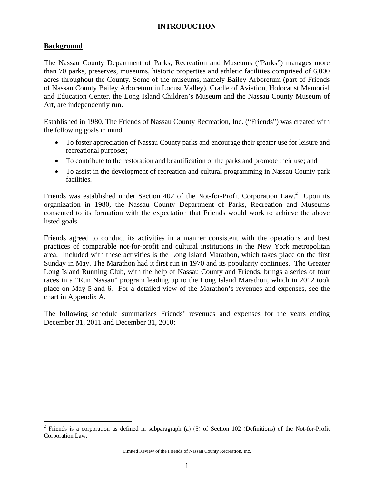#### **Background**

 $\overline{a}$ 

The Nassau County Department of Parks, Recreation and Museums ("Parks") manages more than 70 parks, preserves, museums, historic properties and athletic facilities comprised of 6,000 acres throughout the County. Some of the museums, namely Bailey Arboretum (part of Friends of Nassau County Bailey Arboretum in Locust Valley), Cradle of Aviation, Holocaust Memorial and Education Center, the Long Island Children's Museum and the Nassau County Museum of Art, are independently run.

Established in 1980, The Friends of Nassau County Recreation, Inc. ("Friends") was created with the following goals in mind:

- To foster appreciation of Nassau County parks and encourage their greater use for leisure and recreational purposes;
- To contribute to the restoration and beautification of the parks and promote their use; and
- To assist in the development of recreation and cultural programming in Nassau County park facilities.

Friends was established under Section 402 of the Not-for-Profit Corporation Law.<sup>2</sup> Upon its organization in 1980, the Nassau County Department of Parks, Recreation and Museums consented to its formation with the expectation that Friends would work to achieve the above listed goals.

Friends agreed to conduct its activities in a manner consistent with the operations and best practices of comparable not-for-profit and cultural institutions in the New York metropolitan area. Included with these activities is the Long Island Marathon, which takes place on the first Sunday in May. The Marathon had it first run in 1970 and its popularity continues. The Greater Long Island Running Club, with the help of Nassau County and Friends, brings a series of four races in a "Run Nassau" program leading up to the Long Island Marathon, which in 2012 took place on May 5 and 6. For a detailed view of the Marathon's revenues and expenses, see the chart in Appendix A.

The following schedule summarizes Friends' revenues and expenses for the years ending December 31, 2011 and December 31, 2010:

<sup>&</sup>lt;sup>2</sup> Friends is a corporation as defined in subparagraph (a) (5) of Section 102 (Definitions) of the Not-for-Profit Corporation Law.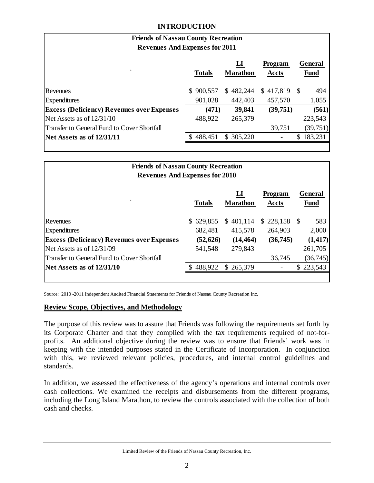#### **INTRODUCTION**

| <b>Friends of Nassau County Recreation</b> |                                           |                         |                        |  |  |
|--------------------------------------------|-------------------------------------------|-------------------------|------------------------|--|--|
| <b>Revenues And Expenses for 2011</b>      |                                           |                         |                        |  |  |
| <b>Totals</b>                              | $\mathbf{L}\mathbf{I}$<br><b>Marathon</b> | Program<br><b>Accts</b> | General<br><b>Fund</b> |  |  |
| \$900,557                                  | \$482,244                                 | \$417,819               | 494<br>- \$            |  |  |
| 901,028                                    | 442,403                                   | 457,570                 | 1,055                  |  |  |
| (471)                                      | 39,841                                    | (39,751)                | (561)                  |  |  |
| 488,922                                    | 265,379                                   |                         | 223,543                |  |  |
|                                            |                                           | 39,751                  | (39,751)               |  |  |
| \$488,451                                  | \$305,220                                 |                         | 183,231<br>\$          |  |  |
|                                            |                                           |                         |                        |  |  |

| <b>Friends of Nassau County Recreation</b><br><b>Revenues And Expenses for 2010</b> |               |                      |                         |                        |
|-------------------------------------------------------------------------------------|---------------|----------------------|-------------------------|------------------------|
| $\overline{\phantom{0}}$                                                            | <b>Totals</b> | П<br><b>Marathon</b> | Program<br><b>Accts</b> | General<br><b>Fund</b> |
| Revenues                                                                            | \$629,855     | \$401,114            | \$228,158               | 583<br>-S              |
| <b>Expenditures</b>                                                                 | 682,481       | 415,578              | 264,903                 | 2,000                  |
| <b>Excess (Deficiency) Revenues over Expenses</b>                                   | (52, 626)     | (14, 464)            | (36,745)                | (1, 417)               |
| Net Assets as of 12/31/09                                                           | 541,548       | 279,843              |                         | 261,705                |
| Transfer to General Fund to Cover Shortfall                                         |               |                      | 36,745                  | (36,745)               |
| Net Assets as of 12/31/10                                                           | \$488,922     | \$265,379            |                         | \$223,543              |

Source: 2010 -2011 Independent Audited Financial Statements for Friends of Nassau County Recreation Inc.

#### **Review Scope, Objectives, and Methodology**

The purpose of this review was to assure that Friends was following the requirements set forth by its Corporate Charter and that they complied with the tax requirements required of not-forprofits. An additional objective during the review was to ensure that Friends' work was in keeping with the intended purposes stated in the Certificate of Incorporation. In conjunction with this, we reviewed relevant policies, procedures, and internal control guidelines and standards.

In addition, we assessed the effectiveness of the agency's operations and internal controls over cash collections. We examined the receipts and disbursements from the different programs, including the Long Island Marathon, to review the controls associated with the collection of both cash and checks.

Limited Review of the Friends of Nassau County Recreation, Inc.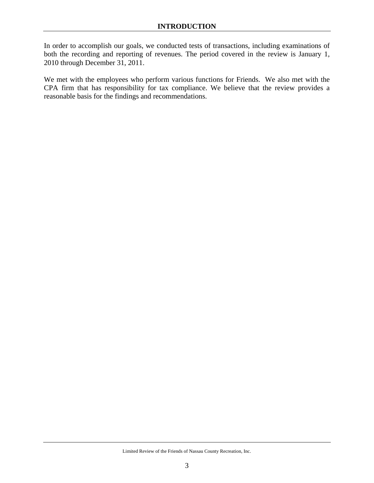In order to accomplish our goals, we conducted tests of transactions, including examinations of both the recording and reporting of revenues. The period covered in the review is January 1, 2010 through December 31, 2011.

We met with the employees who perform various functions for Friends. We also met with the CPA firm that has responsibility for tax compliance. We believe that the review provides a reasonable basis for the findings and recommendations.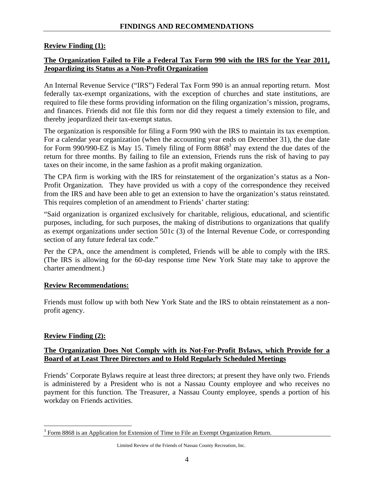### **Review Finding (1):**

### **The Organization Failed to File a Federal Tax Form 990 with the IRS for the Year 2011, Jeopardizing its Status as a Non-Profit Organization**

An Internal Revenue Service ("IRS") Federal Tax Form 990 is an annual reporting return. Most federally tax-exempt organizations, with the exception of churches and state institutions, are required to file these forms providing information on the filing organization's mission, programs, and finances. Friends did not file this form nor did they request a timely extension to file, and thereby jeopardized their tax-exempt status.

The organization is responsible for filing a Form 990 with the IRS to maintain its tax exemption. For a calendar year organization (when the accounting year ends on December 31), the due date for Form 990/990-EZ is May 15. Timely filing of Form  $8868<sup>3</sup>$  may extend the due dates of the return for three months. By failing to file an extension, Friends runs the risk of having to pay taxes on their income, in the same fashion as a profit making organization.

The CPA firm is working with the IRS for reinstatement of the organization's status as a Non-Profit Organization. They have provided us with a copy of the correspondence they received from the IRS and have been able to get an extension to have the organization's status reinstated. This requires completion of an amendment to Friends' charter stating:

"Said organization is organized exclusively for charitable, religious, educational, and scientific purposes, including, for such purposes, the making of distributions to organizations that qualify as exempt organizations under section 501c (3) of the Internal Revenue Code, or corresponding section of any future federal tax code."

Per the CPA, once the amendment is completed, Friends will be able to comply with the IRS. (The IRS is allowing for the 60-day response time New York State may take to approve the charter amendment.)

#### **Review Recommendations:**

Friends must follow up with both New York State and the IRS to obtain reinstatement as a nonprofit agency.

### **Review Finding (2):**

 $\overline{a}$ 

### **The Organization Does Not Comply with its Not-For-Profit Bylaws, which Provide for a Board of at Least Three Directors and to Hold Regularly Scheduled Meetings**

Friends' Corporate Bylaws require at least three directors; at present they have only two. Friends is administered by a President who is not a Nassau County employee and who receives no payment for this function. The Treasurer, a Nassau County employee, spends a portion of his workday on Friends activities.

 $3$  Form 8868 is an Application for Extension of Time to File an Exempt Organization Return.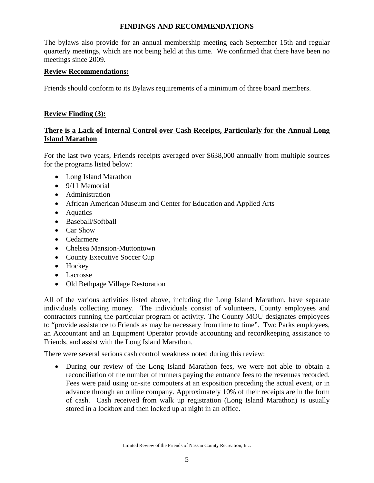### **FINDINGS AND RECOMMENDATIONS**

The bylaws also provide for an annual membership meeting each September 15th and regular quarterly meetings, which are not being held at this time. We confirmed that there have been no meetings since 2009.

#### **Review Recommendations:**

Friends should conform to its Bylaws requirements of a minimum of three board members.

### **Review Finding (3):**

#### **There is a Lack of Internal Control over Cash Receipts, Particularly for the Annual Long Island Marathon**

For the last two years, Friends receipts averaged over \$638,000 annually from multiple sources for the programs listed below:

- Long Island Marathon
- 9/11 Memorial
- Administration
- African American Museum and Center for Education and Applied Arts
- Aquatics
- Baseball/Softball
- Car Show
- Cedarmere
- Chelsea Mansion-Muttontown
- County Executive Soccer Cup
- Hockey
- Lacrosse
- Old Bethpage Village Restoration

All of the various activities listed above, including the Long Island Marathon, have separate individuals collecting money. The individuals consist of volunteers, County employees and contractors running the particular program or activity. The County MOU designates employees to "provide assistance to Friends as may be necessary from time to time". Two Parks employees, an Accountant and an Equipment Operator provide accounting and recordkeeping assistance to Friends, and assist with the Long Island Marathon.

There were several serious cash control weakness noted during this review:

• During our review of the Long Island Marathon fees, we were not able to obtain a reconciliation of the number of runners paying the entrance fees to the revenues recorded. Fees were paid using on-site computers at an exposition preceding the actual event, or in advance through an online company. Approximately 10% of their receipts are in the form of cash. Cash received from walk up registration (Long Island Marathon) is usually stored in a lockbox and then locked up at night in an office.

Limited Review of the Friends of Nassau County Recreation, Inc.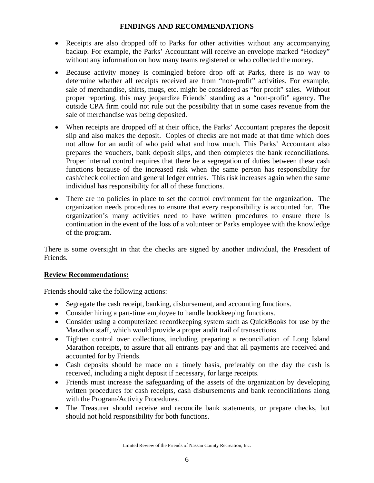- Receipts are also dropped off to Parks for other activities without any accompanying backup. For example, the Parks' Accountant will receive an envelope marked "Hockey" without any information on how many teams registered or who collected the money.
- Because activity money is comingled before drop off at Parks, there is no way to determine whether all receipts received are from "non-profit" activities. For example, sale of merchandise, shirts, mugs, etc. might be considered as "for profit" sales. Without proper reporting, this may jeopardize Friends' standing as a "non-profit" agency. The outside CPA firm could not rule out the possibility that in some cases revenue from the sale of merchandise was being deposited.
- When receipts are dropped off at their office, the Parks' Accountant prepares the deposit slip and also makes the deposit. Copies of checks are not made at that time which does not allow for an audit of who paid what and how much. This Parks' Accountant also prepares the vouchers, bank deposit slips, and then completes the bank reconciliations. Proper internal control requires that there be a segregation of duties between these cash functions because of the increased risk when the same person has responsibility for cash/check collection and general ledger entries. This risk increases again when the same individual has responsibility for all of these functions.
- There are no policies in place to set the control environment for the organization. The organization needs procedures to ensure that every responsibility is accounted for. The organization's many activities need to have written procedures to ensure there is continuation in the event of the loss of a volunteer or Parks employee with the knowledge of the program.

There is some oversight in that the checks are signed by another individual, the President of Friends.

# **Review Recommendations:**

Friends should take the following actions:

- Segregate the cash receipt, banking, disbursement, and accounting functions.
- Consider hiring a part-time employee to handle bookkeeping functions.
- Consider using a computerized recordkeeping system such as QuickBooks for use by the Marathon staff, which would provide a proper audit trail of transactions.
- Tighten control over collections, including preparing a reconciliation of Long Island Marathon receipts, to assure that all entrants pay and that all payments are received and accounted for by Friends.
- Cash deposits should be made on a timely basis, preferably on the day the cash is received, including a night deposit if necessary, for large receipts.
- Friends must increase the safeguarding of the assets of the organization by developing written procedures for cash receipts, cash disbursements and bank reconciliations along with the Program/Activity Procedures.
- The Treasurer should receive and reconcile bank statements, or prepare checks, but should not hold responsibility for both functions.

Limited Review of the Friends of Nassau County Recreation, Inc.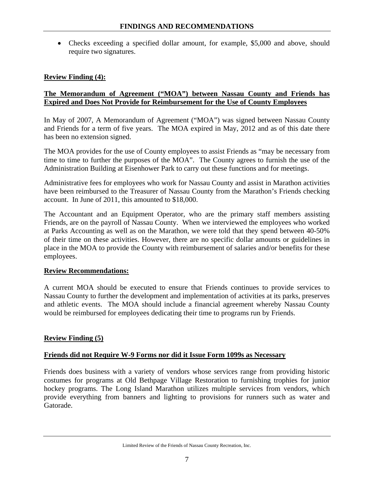• Checks exceeding a specified dollar amount, for example, \$5,000 and above, should require two signatures.

### **Review Finding (4):**

### **The Memorandum of Agreement ("MOA") between Nassau County and Friends has Expired and Does Not Provide for Reimbursement for the Use of County Employees**

In May of 2007, A Memorandum of Agreement ("MOA") was signed between Nassau County and Friends for a term of five years. The MOA expired in May, 2012 and as of this date there has been no extension signed.

The MOA provides for the use of County employees to assist Friends as "may be necessary from time to time to further the purposes of the MOA". The County agrees to furnish the use of the Administration Building at Eisenhower Park to carry out these functions and for meetings.

Administrative fees for employees who work for Nassau County and assist in Marathon activities have been reimbursed to the Treasurer of Nassau County from the Marathon's Friends checking account. In June of 2011, this amounted to \$18,000.

The Accountant and an Equipment Operator, who are the primary staff members assisting Friends, are on the payroll of Nassau County. When we interviewed the employees who worked at Parks Accounting as well as on the Marathon, we were told that they spend between 40-50% of their time on these activities. However, there are no specific dollar amounts or guidelines in place in the MOA to provide the County with reimbursement of salaries and/or benefits for these employees.

### **Review Recommendations:**

A current MOA should be executed to ensure that Friends continues to provide services to Nassau County to further the development and implementation of activities at its parks, preserves and athletic events. The MOA should include a financial agreement whereby Nassau County would be reimbursed for employees dedicating their time to programs run by Friends.

### **Review Finding (5)**

### **Friends did not Require W-9 Forms nor did it Issue Form 1099s as Necessary**

Friends does business with a variety of vendors whose services range from providing historic costumes for programs at Old Bethpage Village Restoration to furnishing trophies for junior hockey programs. The Long Island Marathon utilizes multiple services from vendors, which provide everything from banners and lighting to provisions for runners such as water and Gatorade.

Limited Review of the Friends of Nassau County Recreation, Inc.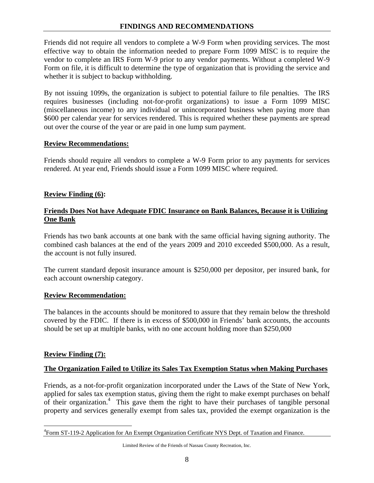#### **FINDINGS AND RECOMMENDATIONS**

Friends did not require all vendors to complete a W-9 Form when providing services. The most effective way to obtain the information needed to prepare Form 1099 MISC is to require the vendor to complete an IRS Form W-9 prior to any vendor payments. Without a completed W-9 Form on file, it is difficult to determine the type of organization that is providing the service and whether it is subject to backup withholding.

By not issuing 1099s, the organization is subject to potential failure to file penalties. The IRS requires businesses (including not-for-profit organizations) to issue a Form 1099 MISC (miscellaneous income) to any individual or unincorporated business when paying more than \$600 per calendar year for services rendered. This is required whether these payments are spread out over the course of the year or are paid in one lump sum payment.

#### **Review Recommendations:**

Friends should require all vendors to complete a W-9 Form prior to any payments for services rendered. At year end, Friends should issue a Form 1099 MISC where required.

#### **Review Finding (6):**

#### **Friends Does Not have Adequate FDIC Insurance on Bank Balances, Because it is Utilizing One Bank**

Friends has two bank accounts at one bank with the same official having signing authority. The combined cash balances at the end of the years 2009 and 2010 exceeded \$500,000. As a result, the account is not fully insured.

The current standard deposit insurance amount is \$250,000 per depositor, per insured bank, for each account ownership category.

#### **Review Recommendation:**

The balances in the accounts should be monitored to assure that they remain below the threshold covered by the FDIC. If there is in excess of \$500,000 in Friends' bank accounts, the accounts should be set up at multiple banks, with no one account holding more than \$250,000

### **Review Finding (7):**

### **The Organization Failed to Utilize its Sales Tax Exemption Status when Making Purchases**

Friends, as a not-for-profit organization incorporated under the Laws of the State of New York, applied for sales tax exemption status, giving them the right to make exempt purchases on behalf of their organization.<sup>4</sup> This gave them the right to have their purchases of tangible personal property and services generally exempt from sales tax, provided the exempt organization is the

 $\overline{a}$ <sup>4</sup>Form ST-119-2 Application for An Exempt Organization Certificate NYS Dept. of Taxation and Finance.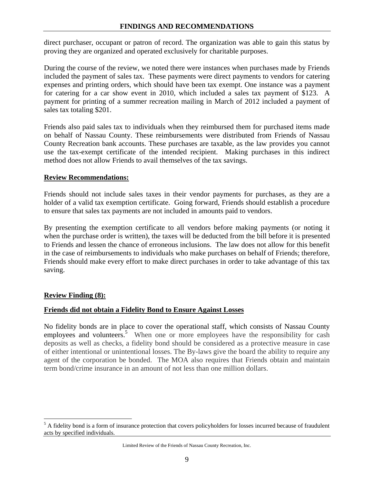### **FINDINGS AND RECOMMENDATIONS**

direct purchaser, occupant or patron of record. The organization was able to gain this status by proving they are organized and operated exclusively for charitable purposes.

During the course of the review, we noted there were instances when purchases made by Friends included the payment of sales tax. These payments were direct payments to vendors for catering expenses and printing orders, which should have been tax exempt. One instance was a payment for catering for a car show event in 2010, which included a sales tax payment of \$123. A payment for printing of a summer recreation mailing in March of 2012 included a payment of sales tax totaling \$201.

Friends also paid sales tax to individuals when they reimbursed them for purchased items made on behalf of Nassau County. These reimbursements were distributed from Friends of Nassau County Recreation bank accounts. These purchases are taxable, as the law provides you cannot use the tax-exempt certificate of the intended recipient. Making purchases in this indirect method does not allow Friends to avail themselves of the tax savings.

#### **Review Recommendations:**

Friends should not include sales taxes in their vendor payments for purchases, as they are a holder of a valid tax exemption certificate. Going forward, Friends should establish a procedure to ensure that sales tax payments are not included in amounts paid to vendors.

By presenting the exemption certificate to all vendors before making payments (or noting it when the purchase order is written), the taxes will be deducted from the bill before it is presented to Friends and lessen the chance of erroneous inclusions. The law does not allow for this benefit in the case of reimbursements to individuals who make purchases on behalf of Friends; therefore, Friends should make every effort to make direct purchases in order to take advantage of this tax saving.

### **Review Finding (8):**

 $\overline{a}$ 

### **Friends did not obtain a Fidelity Bond to Ensure Against Losses**

No fidelity bonds are in place to cover the operational staff, which consists of Nassau County employees and volunteers.<sup>5</sup> When one or more employees have the responsibility for cash deposits as well as checks, a fidelity bond should be considered as a protective measure in case of either intentional or unintentional losses. The By-laws give the board the ability to require any agent of the corporation be bonded. The MOA also requires that Friends obtain and maintain term bond/crime insurance in an amount of not less than one million dollars.

<sup>&</sup>lt;sup>5</sup> A fidelity bond is a form of insurance protection that covers policyholders for losses incurred because of fraudulent acts by specified individuals.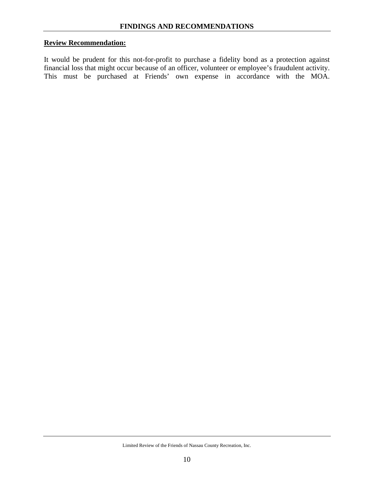#### **Review Recommendation:**

It would be prudent for this not-for-profit to purchase a fidelity bond as a protection against financial loss that might occur because of an officer, volunteer or employee's fraudulent activity. This must be purchased at Friends' own expense in accordance with the MOA.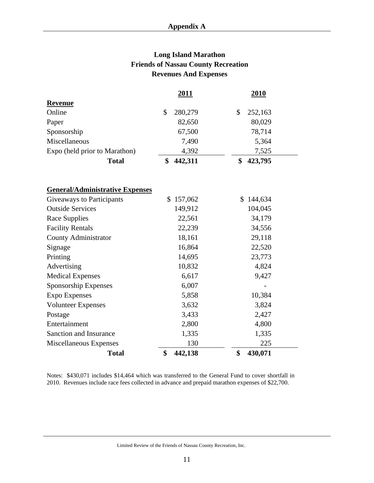# **Long Island Marathon Friends of Nassau County Recreation Revenues And Expenses**

|                                        | 2011          | 2010          |
|----------------------------------------|---------------|---------------|
| <b>Revenue</b>                         |               |               |
| Online                                 | \$<br>280,279 | \$<br>252,163 |
| Paper                                  | 82,650        | 80,029        |
| Sponsorship                            | 67,500        | 78,714        |
| Miscellaneous                          | 7,490         | 5,364         |
| Expo (held prior to Marathon)          | 4,392         | 7,525         |
| <b>Total</b>                           | \$<br>442,311 | \$<br>423,795 |
| <b>General/Administrative Expenses</b> |               |               |
| Giveaways to Participants              | 157,062<br>\$ | 144,634<br>\$ |
| <b>Outside Services</b>                | 149,912       | 104,045       |
| Race Supplies                          | 22,561        | 34,179        |
| <b>Facility Rentals</b>                | 22,239        | 34,556        |
| <b>County Administrator</b>            | 18,161        | 29,118        |
| Signage                                | 16,864        | 22,520        |
| Printing                               | 14,695        | 23,773        |
| Advertising                            | 10,832        | 4,824         |
| <b>Medical Expenses</b>                | 6,617         | 9,427         |
| Sponsorship Expenses                   | 6,007         |               |
| <b>Expo Expenses</b>                   | 5,858         | 10,384        |
| <b>Volunteer Expenses</b>              | 3,632         | 3,824         |
| Postage                                | 3,433         | 2,427         |
| Entertainment                          | 2,800         | 4,800         |
| Sanction and Insurance                 | 1,335         | 1,335         |
| Miscellaneous Expenses                 | 130           | 225           |
| <b>Total</b>                           | \$<br>442,138 | \$<br>430,071 |

Notes: \$430,071 includes \$14,464 which was transferred to the General Fund to cover shortfall in 2010. Revenues include race fees collected in advance and prepaid marathon expenses of \$22,700.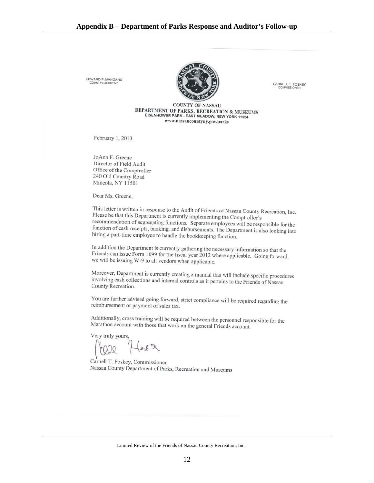EDWARD P. MANGANO<br>COUNTY EXECUTIVE



CARNELL T. FOSKEY

**COUNTY OF NASSAU** DEPARTMENT OF PARKS, RECREATION & MUSEUMS EISENHOWER PARK - EAST MEADOW, NEW YORK 11554 www.nassaucountyny.gov/parks

February 1, 2013

JoAnn F. Greene Director of Field Audit Office of the Comptroller 240 Old Country Road Mineola, NY 11501

Dear Ms. Greene,

This letter is written in response to the Audit of Friends of Nassau County Recreation, Inc. Please be that this Department is currently implementing the Comptroller's recommendation of segregating functions. Separate employees will be responsible for the function of cash receipts, banking, and disbursements. The Department is also looking into<br>hiring a next time hiring a part-time employee to handle the bookkeeping function.

In addition the Department is currently gathering the necessary information so that the<br>Friends can issue Form 1000 footh of Friends can issue Form 1099 for the fiscal year 2012 where applicable. Going forward, we will be issuing W-9 to all vendors when applicable.

Moreover, Department is currently creating a manual that will include specific procedures involving cash collections and internal controls as it pertains to the Friends of Nassau County Recreation.

You are further advised going forward, strict compliance will be required regarding the reimbursement or payment of sales tax.

Additionally, cross training will be required between the personnel responsible for the Marathon account with those that work on the general Friends account.

Very truly yours

Carnell T. Foskey, Commissioner Nassau County Department of Parks, Recreation and Museums